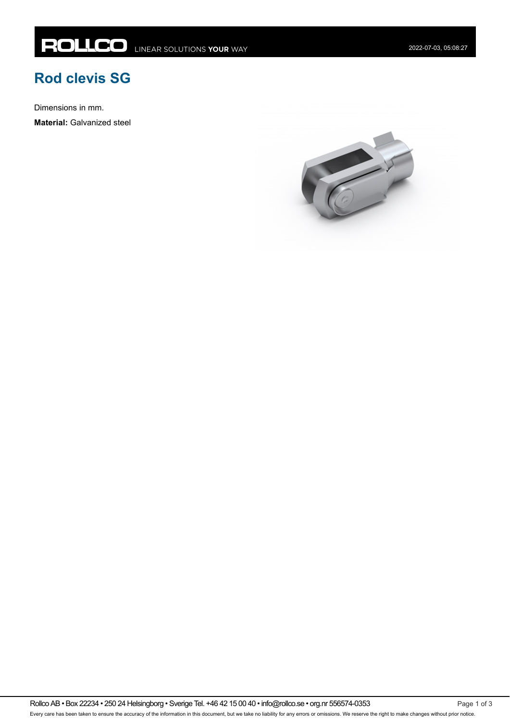## **Rod clevis SG**

Dimensions in mm.

**Material:** Galvanized steel

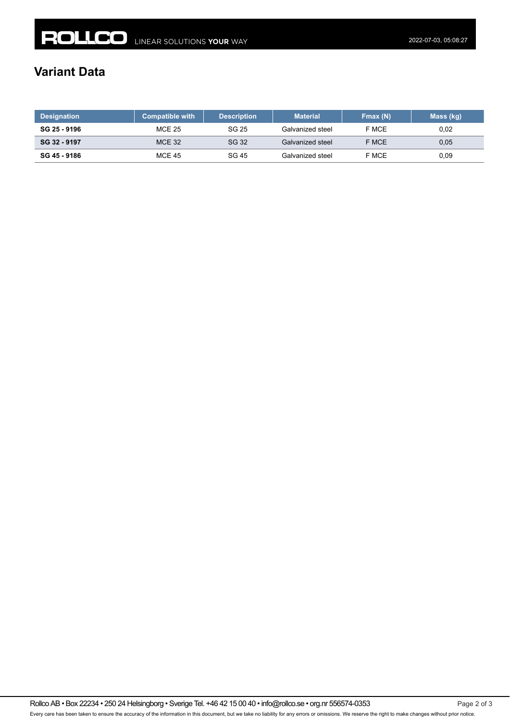## **Variant Data**

| <b>Designation</b> | <b>Compatible with</b> | <b>Description</b> | <b>Material</b>  | Fmax (N) | Mass (kg) |
|--------------------|------------------------|--------------------|------------------|----------|-----------|
| SG 25 - 9196       | <b>MCE 25</b>          | SG 25              | Galvanized steel | F MCE    | 0,02      |
| SG 32 - 9197       | <b>MCE 32</b>          | SG 32              | Galvanized steel | F MCE    | 0.05      |
| SG 45 - 9186       | <b>MCE 45</b>          | SG 45              | Galvanized steel | F MCE    | 0,09      |

Rollco AB • Box 22234 • 250 24 Helsingborg • Sverige Tel. +46 42 15 00 40 • info@rollco.se • org.nr 556574-0353 Page 2 of 3 Every care has been taken to ensure the accuracy of the information in this document, but we take no liability for any errors or omissions. We reserve the right to make changes without prior notice.